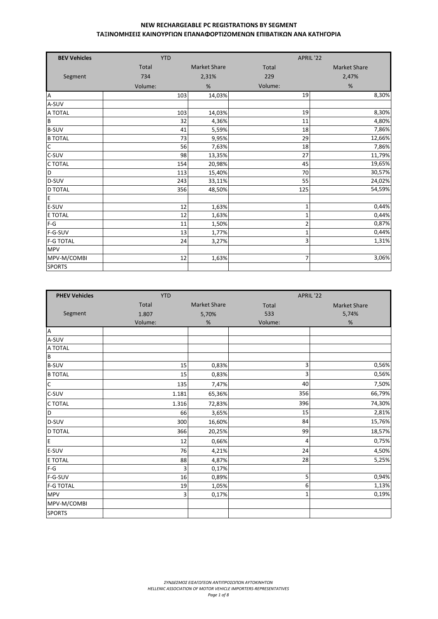| <b>BEV Vehicles</b> | <b>YTD</b> |                     |                | APRIL '22           |
|---------------------|------------|---------------------|----------------|---------------------|
|                     | Total      | <b>Market Share</b> | Total          | <b>Market Share</b> |
| Segment             | 734        | 2,31%               | 229            | 2,47%               |
|                     | Volume:    | %                   | Volume:        | %                   |
| $\overline{A}$      | 103        | 14,03%              | 19             | 8,30%               |
| A-SUV               |            |                     |                |                     |
| A TOTAL             | 103        | 14,03%              | 19             | 8,30%               |
| $\sf{B}$            | 32         | 4,36%               | 11             | 4,80%               |
| <b>B-SUV</b>        | 41         | 5,59%               | 18             | 7,86%               |
| <b>B TOTAL</b>      | 73         | 9,95%               | 29             | 12,66%              |
| $\mathsf C$         | 56         | 7,63%               | 18             | 7,86%               |
| C-SUV               | 98         | 13,35%              | 27             | 11,79%              |
| C TOTAL             | 154        | 20,98%              | 45             | 19,65%              |
| $\mathsf D$         | 113        | 15,40%              | 70             | 30,57%              |
| D-SUV               | 243        | 33,11%              | 55             | 24,02%              |
| <b>D TOTAL</b>      | 356        | 48,50%              | 125            | 54,59%              |
| E                   |            |                     |                |                     |
| E-SUV               | 12         | 1,63%               | 1              | 0,44%               |
| E TOTAL             | 12         | 1,63%               | $\mathbf{1}$   | 0,44%               |
| $F-G$               | 11         | 1,50%               | $\overline{c}$ | 0,87%               |
| F-G-SUV             | 13         | 1,77%               | $\mathbf{1}$   | 0,44%               |
| <b>F-G TOTAL</b>    | 24         | 3,27%               | 3              | 1,31%               |
| <b>MPV</b>          |            |                     |                |                     |
| MPV-M/COMBI         | 12         | 1,63%               | $\overline{7}$ | 3,06%               |
| <b>SPORTS</b>       |            |                     |                |                     |

| <b>PHEV Vehicles</b> | <b>YTD</b>   |                     | APRIL '22 |                     |  |
|----------------------|--------------|---------------------|-----------|---------------------|--|
|                      | <b>Total</b> | <b>Market Share</b> | Total     | <b>Market Share</b> |  |
| Segment              | 1.807        | 5,70%               | 533       | 5,74%               |  |
|                      | Volume:      | %                   | Volume:   | $\%$                |  |
| A                    |              |                     |           |                     |  |
| A-SUV                |              |                     |           |                     |  |
| A TOTAL              |              |                     |           |                     |  |
| $\sf B$              |              |                     |           |                     |  |
| <b>B-SUV</b>         | 15           | 0,83%               | 3         | 0,56%               |  |
| <b>B TOTAL</b>       | 15           | 0,83%               | 3         | 0,56%               |  |
| $\mathsf C$          | 135          | 7,47%               | 40        | 7,50%               |  |
| C-SUV                | 1.181        | 65,36%              | 356       | 66,79%              |  |
| C TOTAL              | 1.316        | 72,83%              | 396       | 74,30%              |  |
| D                    | 66           | 3,65%               | 15        | 2,81%               |  |
| D-SUV                | 300          | 16,60%              | 84        | 15,76%              |  |
| <b>D TOTAL</b>       | 366          | 20,25%              | 99        | 18,57%              |  |
| E                    | 12           | 0,66%               | 4         | 0,75%               |  |
| E-SUV                | 76           | 4,21%               | 24        | 4,50%               |  |
| E TOTAL              | 88           | 4,87%               | 28        | 5,25%               |  |
| $F-G$                | 3            | 0,17%               |           |                     |  |
| F-G-SUV              | 16           | 0,89%               | 5         | 0,94%               |  |
| <b>F-G TOTAL</b>     | 19           | 1,05%               | 6         | 1,13%               |  |
| <b>MPV</b>           | 3            | 0,17%               | 1         | 0,19%               |  |
| MPV-M/COMBI          |              |                     |           |                     |  |
| <b>SPORTS</b>        |              |                     |           |                     |  |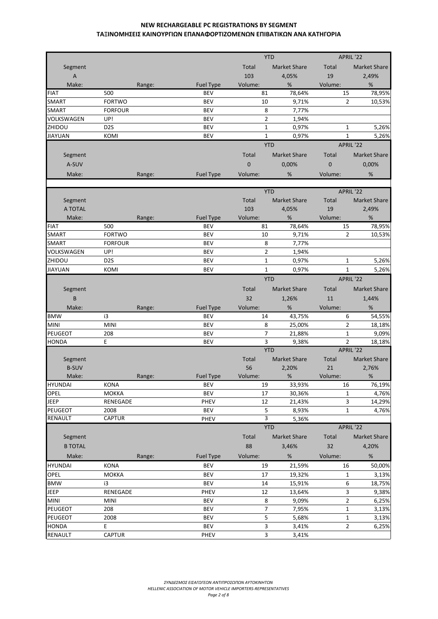|                           |                             |        |                          |             | <b>YTD</b>              | APRIL '22               |                     |
|---------------------------|-----------------------------|--------|--------------------------|-------------|-------------------------|-------------------------|---------------------|
| Segment                   |                             |        |                          | Total       | <b>Market Share</b>     | Total                   | <b>Market Share</b> |
| $\boldsymbol{\mathsf{A}}$ |                             |        |                          | 103         | 4,05%                   | 19                      | 2,49%               |
| Make:                     |                             | Range: | <b>Fuel Type</b>         | Volume:     | %                       | Volume:                 | $\%$                |
| <b>FIAT</b>               | 500                         |        | <b>BEV</b>               | 81          | 78,64%                  | 15                      | 78,95%              |
| SMART                     | <b>FORTWO</b>               |        | <b>BEV</b>               | 10          | 9,71%                   | $\overline{2}$          | 10,53%              |
| <b>SMART</b>              | <b>FORFOUR</b>              |        | <b>BEV</b>               |             | 8<br>7,77%              |                         |                     |
| VOLKSWAGEN                | UP!                         |        | <b>BEV</b>               |             | $\overline{2}$<br>1,94% |                         |                     |
| ZHIDOU                    | D <sub>2</sub> S            |        | <b>BEV</b>               |             | $\mathbf 1$<br>0,97%    | $\mathbf 1$             | 5,26%               |
| <b>JIAYUAN</b>            | KOMI                        |        | <b>BEV</b>               |             | $\mathbf{1}$<br>0,97%   | $\mathbf{1}$            | 5,26%               |
|                           |                             |        |                          |             | <b>YTD</b>              | APRIL '22               |                     |
| Segment                   |                             |        |                          | Total       | <b>Market Share</b>     | Total                   | <b>Market Share</b> |
| A-SUV                     |                             |        |                          | $\mathbf 0$ | 0,00%                   | $\mathbf 0$             | 0,00%               |
| Make:                     |                             | Range: | <b>Fuel Type</b>         | Volume:     | %                       | Volume:                 | %                   |
|                           |                             |        |                          |             |                         |                         |                     |
|                           |                             |        |                          |             | <b>YTD</b>              | APRIL '22               |                     |
| Segment                   |                             |        |                          | Total       | <b>Market Share</b>     | Total                   | <b>Market Share</b> |
| A TOTAL                   |                             |        |                          | 103         | 4,05%                   | 19                      | 2,49%               |
| Make:                     |                             | Range: | <b>Fuel Type</b>         | Volume:     | %                       | Volume:                 | %                   |
| <b>FIAT</b>               | 500                         |        | <b>BEV</b>               | 81          | 78,64%                  | 15                      | 78,95%              |
| <b>SMART</b>              | <b>FORTWO</b>               |        | <b>BEV</b>               | 10          | 9,71%                   | $\overline{2}$          | 10,53%              |
| <b>SMART</b>              | <b>FORFOUR</b>              |        | <b>BEV</b>               |             | 8<br>7,77%              |                         |                     |
| VOLKSWAGEN                | UP!                         |        | <b>BEV</b>               |             | $\overline{2}$<br>1,94% |                         |                     |
| ZHIDOU                    | D <sub>2</sub> S            |        | <b>BEV</b>               |             | 0,97%<br>$\mathbf{1}$   | $\mathbf 1$             | 5,26%               |
| <b>JIAYUAN</b>            | KOMI                        |        | <b>BEV</b>               |             | $\mathbf 1$<br>0,97%    | $\mathbf{1}$            | 5,26%               |
|                           |                             |        |                          |             | <b>YTD</b>              | APRIL '22               |                     |
| Segment                   |                             |        |                          | Total       | <b>Market Share</b>     | Total                   | <b>Market Share</b> |
| B                         |                             |        |                          | 32          | 1,26%                   | 11                      | 1,44%               |
| Make:                     |                             | Range: | <b>Fuel Type</b>         | Volume:     | %                       | Volume:                 | %                   |
| <b>BMW</b>                | i3                          |        | <b>BEV</b>               | 14          | 43,75%                  | 6                       | 54,55%              |
| <b>MINI</b>               | <b>MINI</b>                 |        | <b>BEV</b>               |             | 8<br>25,00%             | $\mathbf{2}$            | 18,18%              |
| PEUGEOT                   | 208                         |        | <b>BEV</b>               |             | 7<br>21,88%             | $\mathbf 1$             | 9,09%               |
| <b>HONDA</b>              | E                           |        | <b>BEV</b>               |             | 3<br>9,38%              | $\overline{\mathbf{c}}$ | 18,18%              |
|                           |                             |        |                          |             | <b>YTD</b>              | APRIL '22               |                     |
| Segment                   |                             |        |                          | Total       | <b>Market Share</b>     | Total                   | <b>Market Share</b> |
| <b>B-SUV</b>              |                             |        |                          | 56          | 2,20%                   | 21                      | 2,76%               |
| Make:                     |                             | Range: | <b>Fuel Type</b>         | Volume:     | %                       | Volume:                 | $\%$                |
| <b>HYUNDAI</b><br>OPEL    | <b>KONA</b><br><b>MOKKA</b> |        | <b>BEV</b><br><b>BEV</b> | 19<br>17    | 33,93%<br>30,36%        | 16<br>$\mathbf 1$       | 76,19%<br>4,76%     |
| <b>JEEP</b>               | RENEGADE                    |        | PHEV                     | 12          | 21,43%                  | 3                       | 14,29%              |
| PEUGEOT                   | 2008                        |        | <b>BEV</b>               |             | 5<br>8,93%              | $\mathbf 1$             | 4,76%               |
| RENAULT                   | CAPTUR                      |        | PHEV                     |             | 3<br>5,36%              |                         |                     |
|                           |                             |        |                          |             | <b>YTD</b>              |                         | APRIL '22           |
| Segment                   |                             |        |                          | Total       | <b>Market Share</b>     | Total                   | Market Share        |
| <b>B TOTAL</b>            |                             |        |                          | 88          | 3,46%                   | 32                      | 4,20%               |
| Make:                     |                             | Range: | <b>Fuel Type</b>         | Volume:     | $\%$                    | Volume:                 | $\%$                |
| <b>HYUNDAI</b>            | <b>KONA</b>                 |        | <b>BEV</b>               | 19          | 21,59%                  | 16                      | 50,00%              |
| OPEL                      | <b>MOKKA</b>                |        | <b>BEV</b>               | 17          | 19,32%                  | $\mathbf 1$             | 3,13%               |
| <b>BMW</b>                | i3                          |        | <b>BEV</b>               | 14          | 15,91%                  | 6                       | 18,75%              |
| JEEP                      | RENEGADE                    |        | PHEV                     | 12          | 13,64%                  | 3                       | 9,38%               |
| MINI                      | <b>MINI</b>                 |        | BEV                      |             | 8<br>9,09%              | $\overline{2}$          | 6,25%               |
| PEUGEOT                   | 208                         |        | <b>BEV</b>               |             | $\overline{7}$<br>7,95% | $\mathbf 1$             | 3,13%               |
| PEUGEOT                   | 2008                        |        | <b>BEV</b>               |             | 5<br>5,68%              | $\mathbf 1$             | 3,13%               |
| <b>HONDA</b>              | E                           |        | <b>BEV</b>               |             | 3<br>3,41%              | $\overline{2}$          | 6,25%               |
| RENAULT                   | CAPTUR                      |        | PHEV                     |             | 3<br>3,41%              |                         |                     |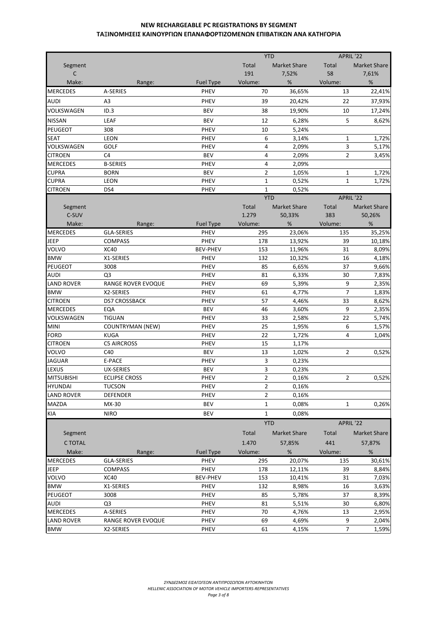|                   |                             |                                 | <b>YTD</b>                 |                     | APRIL '22      |                     |
|-------------------|-----------------------------|---------------------------------|----------------------------|---------------------|----------------|---------------------|
| Segment           |                             |                                 | Total                      | <b>Market Share</b> | Total          | <b>Market Share</b> |
| C                 |                             |                                 | 191                        | 7,52%               | 58             | 7,61%               |
| Make:             | Range:                      | <b>Fuel Type</b>                | Volume:                    | $\%$                | Volume:        | $\%$                |
| <b>MERCEDES</b>   | A-SERIES                    | <b>PHEV</b>                     | 70                         | 36,65%              | 13             | 22,41%              |
| <b>AUDI</b>       | A3                          | PHEV                            | 39                         | 20,42%              | 22             | 37,93%              |
|                   |                             |                                 |                            |                     |                |                     |
| VOLKSWAGEN        | ID.3                        | <b>BEV</b>                      | 38                         | 19,90%              | 10             | 17,24%              |
| <b>NISSAN</b>     | LEAF                        | <b>BEV</b>                      | 12                         | 6,28%               | 5              | 8,62%               |
| <b>PEUGEOT</b>    | 308                         | PHEV                            | 10                         | 5,24%               |                |                     |
| <b>SEAT</b>       | <b>LEON</b>                 | PHEV                            | 6                          | 3,14%               | $\mathbf{1}$   | 1,72%               |
| VOLKSWAGEN        | GOLF                        | PHEV                            | 4                          | 2,09%               | 3              | 5,17%               |
| <b>CITROEN</b>    | C4                          | <b>BEV</b>                      | 4                          | 2,09%               | $\overline{2}$ | 3,45%               |
| <b>MERCEDES</b>   | <b>B-SERIES</b>             | PHEV                            | 4                          | 2,09%               |                |                     |
| <b>CUPRA</b>      | <b>BORN</b>                 | <b>BEV</b>                      | $\overline{2}$             | 1,05%               | 1              | 1,72%               |
| <b>CUPRA</b>      | <b>LEON</b>                 | PHEV                            | $\mathbf{1}$               | 0,52%               | $\mathbf{1}$   | 1,72%               |
| <b>CITROEN</b>    | DS4                         | <b>PHEV</b>                     | $\mathbf{1}$<br><b>YTD</b> | 0,52%               | APRIL '22      |                     |
|                   |                             |                                 |                            |                     |                |                     |
| Segment<br>C-SUV  |                             |                                 | Total<br>1.279             | <b>Market Share</b> | Total          | <b>Market Share</b> |
| Make:             |                             |                                 |                            | 50,33%              | 383            | 50,26%              |
| <b>MERCEDES</b>   | Range:<br><b>GLA-SERIES</b> | <b>Fuel Type</b><br><b>PHEV</b> | Volume:<br>295             | %<br>23,06%         | Volume:<br>135 | %<br>35,25%         |
| <b>JEEP</b>       | <b>COMPASS</b>              | PHEV                            | 178                        | 13,92%              | 39             | 10,18%              |
| VOLVO             | <b>XC40</b>                 | <b>BEV-PHEV</b>                 | 153                        | 11,96%              | 31             | 8,09%               |
| <b>BMW</b>        | X1-SERIES                   | <b>PHEV</b>                     | 132                        | 10,32%              | 16             | 4,18%               |
| PEUGEOT           | 3008                        | PHEV                            | 85                         | 6,65%               | 37             | 9,66%               |
| <b>AUDI</b>       | Q3                          | <b>PHEV</b>                     | 81                         | 6,33%               | 30             | 7,83%               |
| <b>LAND ROVER</b> | RANGE ROVER EVOQUE          | PHEV                            | 69                         | 5,39%               | 9              | 2,35%               |
| <b>BMW</b>        | X2-SERIES                   | PHEV                            | 61                         | 4,77%               | $\overline{7}$ | 1,83%               |
| <b>CITROEN</b>    | <b>DS7 CROSSBACK</b>        | PHEV                            | 57                         | 4,46%               | 33             | 8,62%               |
| <b>MERCEDES</b>   | EQA                         | <b>BEV</b>                      | 46                         | 3,60%               | 9              | 2,35%               |
| VOLKSWAGEN        | <b>TIGUAN</b>               | PHEV                            | 33                         | 2,58%               | 22             | 5,74%               |
| <b>MINI</b>       | <b>COUNTRYMAN (NEW)</b>     | PHEV                            | 25                         | 1,95%               | 6              | 1,57%               |
| <b>FORD</b>       | <b>KUGA</b>                 | PHEV                            | 22                         | 1,72%               | 4              | 1,04%               |
| <b>CITROEN</b>    | <b>C5 AIRCROSS</b>          | PHEV                            | 15                         | 1,17%               |                |                     |
| <b>VOLVO</b>      | C40                         | <b>BEV</b>                      | 13                         | 1,02%               | $\overline{2}$ | 0,52%               |
| <b>JAGUAR</b>     | E-PACE                      | PHEV                            | 3                          | 0,23%               |                |                     |
| LEXUS             | <b>UX-SERIES</b>            | <b>BEV</b>                      | 3                          | 0,23%               |                |                     |
| <b>MITSUBISHI</b> | <b>ECLIPSE CROSS</b>        | PHEV                            | $\overline{\mathbf{c}}$    | 0,16%               | 2              | 0,52%               |
| <b>HYUNDAI</b>    | <b>TUCSON</b>               | PHEV                            | $\overline{2}$             | 0,16%               |                |                     |
| <b>LAND ROVER</b> | <b>DEFENDER</b>             | <b>PHEV</b>                     | 2                          | 0,16%               |                |                     |
| <b>MAZDA</b>      | MX-30                       | <b>BEV</b>                      | $\mathbf{1}$               | 0,08%               | $\mathbf{1}$   | 0,26%               |
| KIA               | <b>NIRO</b>                 | <b>BEV</b>                      | $\mathbf{1}$               | 0,08%               |                |                     |
|                   |                             |                                 | <b>YTD</b>                 |                     | APRIL '22      |                     |
|                   |                             |                                 |                            |                     |                |                     |
| Segment           |                             |                                 | Total                      | <b>Market Share</b> | Total          | Market Share        |
| C TOTAL           |                             |                                 | 1.470                      | 57,85%              | 441            | 57,87%              |
| Make:             | Range:                      | <b>Fuel Type</b>                | Volume:                    | $\%$                | Volume:        | $\%$                |
| <b>MERCEDES</b>   | <b>GLA-SERIES</b>           | PHEV                            | 295                        | 20,07%              | 135            | 30,61%              |
| <b>JEEP</b>       | <b>COMPASS</b>              | PHEV                            | 178                        | 12,11%              | 39             | 8,84%               |
| VOLVO             | <b>XC40</b>                 | <b>BEV-PHEV</b>                 | 153                        | 10,41%              | 31             | 7,03%               |
| <b>BMW</b>        | X1-SERIES                   | PHEV                            | 132                        | 8,98%               | 16             | 3,63%               |
| <b>PEUGEOT</b>    | 3008                        | PHEV                            | 85                         | 5,78%               | 37             | 8,39%               |
| AUDI              | Q3                          | PHEV                            | 81                         | 5,51%               | 30             | 6,80%               |
| <b>MERCEDES</b>   | A-SERIES                    | PHEV                            | 70                         | 4,76%               | 13             | 2,95%               |
| <b>LAND ROVER</b> | RANGE ROVER EVOQUE          | PHEV                            | 69                         | 4,69%               | 9              | 2,04%               |
| <b>BMW</b>        | X2-SERIES                   | <b>PHEV</b>                     | 61                         | 4,15%               | $\overline{7}$ | 1,59%               |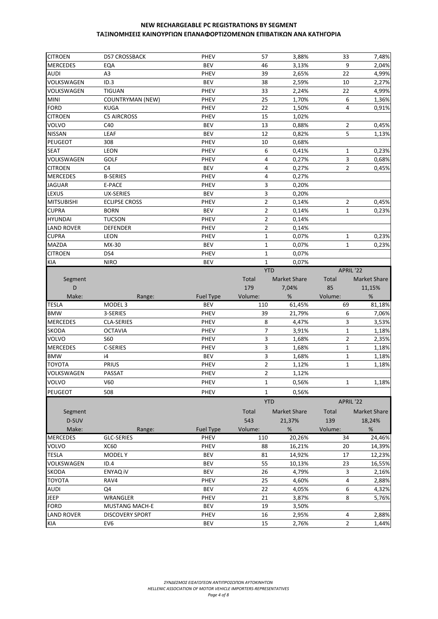| <b>CITROEN</b>                   | <b>DS7 CROSSBACK</b>                      | <b>PHEV</b>        | 57             | 3,88%               | 33             | 7,48%               |
|----------------------------------|-------------------------------------------|--------------------|----------------|---------------------|----------------|---------------------|
| <b>MERCEDES</b>                  | EQA                                       | <b>BEV</b>         | 46             | 3,13%               | 9              | 2,04%               |
| <b>AUDI</b>                      | A <sub>3</sub>                            | PHEV               | 39             | 2,65%               | 22             | 4,99%               |
| VOLKSWAGEN                       | ID.3                                      | <b>BEV</b>         | 38             | 2,59%               | 10             | 2,27%               |
| VOLKSWAGEN                       | <b>TIGUAN</b>                             | <b>PHEV</b>        | 33             | 2,24%               | 22             | 4,99%               |
| <b>MINI</b>                      | <b>COUNTRYMAN (NEW)</b>                   | PHEV               | 25             | 1,70%               | 6              | 1,36%               |
| <b>FORD</b>                      | <b>KUGA</b>                               | PHEV               | 22             | 1,50%               | 4              | 0,91%               |
| <b>CITROEN</b>                   | <b>C5 AIRCROSS</b>                        | PHEV               | 15             | 1,02%               |                |                     |
| <b>VOLVO</b>                     | C40                                       | <b>BEV</b>         | 13             | 0,88%               | $\overline{2}$ | 0,45%               |
| <b>NISSAN</b>                    | LEAF                                      | <b>BEV</b>         | 12             | 0,82%               | 5              | 1,13%               |
| PEUGEOT                          | 308                                       | PHEV               | 10             | 0,68%               |                |                     |
| <b>SEAT</b>                      | <b>LEON</b>                               | PHEV               | 6              | 0,41%               | $\mathbf{1}$   | 0,23%               |
| VOLKSWAGEN                       | <b>GOLF</b>                               | PHEV               | $\overline{4}$ | 0,27%               | 3              | 0,68%               |
| <b>CITROEN</b>                   | C4                                        | <b>BEV</b>         | 4              | 0,27%               | $\overline{2}$ | 0,45%               |
| <b>MERCEDES</b>                  | <b>B-SERIES</b>                           | <b>PHEV</b>        | 4              | 0,27%               |                |                     |
| <b>JAGUAR</b>                    | E-PACE                                    | PHEV               | 3              | 0,20%               |                |                     |
| LEXUS                            | UX-SERIES                                 | <b>BEV</b>         | 3              | 0,20%               |                |                     |
| <b>MITSUBISHI</b>                | <b>ECLIPSE CROSS</b>                      | PHEV               | $\overline{2}$ | 0,14%               | $\overline{2}$ | 0,45%               |
| <b>CUPRA</b>                     | <b>BORN</b>                               | <b>BEV</b>         | $\overline{2}$ | 0,14%               | $\mathbf{1}$   | 0,23%               |
| <b>HYUNDAI</b>                   | <b>TUCSON</b>                             | PHEV               | $\overline{2}$ | 0,14%               |                |                     |
| <b>LAND ROVER</b>                | DEFENDER                                  | PHEV               | $\overline{2}$ | 0,14%               |                |                     |
| <b>CUPRA</b>                     | <b>LEON</b>                               | <b>PHEV</b>        | $\mathbf 1$    | 0,07%               | $\mathbf{1}$   | 0,23%               |
| MAZDA                            | MX-30                                     | <b>BEV</b>         | $\mathbf 1$    | 0,07%               | $\mathbf{1}$   | 0,23%               |
| <b>CITROEN</b>                   | DS4                                       | PHEV               | $\mathbf{1}$   | 0,07%               |                |                     |
| <b>KIA</b>                       | <b>NIRO</b>                               | <b>BEV</b>         | $\mathbf{1}$   | 0,07%               |                |                     |
|                                  |                                           |                    | <b>YTD</b>     |                     | APRIL '22      |                     |
|                                  |                                           |                    | Total          | <b>Market Share</b> | Total          | <b>Market Share</b> |
| Segment<br>D                     |                                           |                    | 179            | 7,04%               | 85             | 11,15%              |
|                                  |                                           |                    |                |                     |                |                     |
|                                  |                                           |                    |                |                     |                |                     |
| Make:                            | Range:                                    | Fuel Type          | Volume:        | %                   | Volume:        | %                   |
| <b>TESLA</b>                     | MODEL <sub>3</sub>                        | <b>BEV</b>         | 110            | 61,45%              | 69             | 81,18%              |
| <b>BMW</b>                       | 3-SERIES                                  | PHEV               | 39             | 21,79%              | 6              | 7,06%               |
| <b>MERCEDES</b>                  | <b>CLA-SERIES</b>                         | PHEV               | 8              | 4,47%               | 3              | 3,53%               |
| <b>SKODA</b>                     | <b>OCTAVIA</b>                            | PHEV               | 7              | 3,91%               | $\mathbf 1$    | 1,18%               |
| VOLVO                            | S60                                       | PHEV               | 3              | 1,68%               | $\overline{2}$ | 2,35%               |
| <b>MERCEDES</b>                  | C-SERIES                                  | PHEV               | 3              | 1,68%               | $\mathbf{1}$   | 1,18%               |
| <b>BMW</b>                       | i4                                        | <b>BEV</b>         | 3              | 1,68%               | $\mathbf 1$    | 1,18%               |
| <b>TOYOTA</b>                    | PRIUS                                     | PHEV               | $\overline{2}$ | 1,12%               | $\mathbf{1}$   | 1,18%               |
| VOLKSWAGEN                       | <b>PASSAT</b>                             | PHEV               | $\overline{2}$ | 1,12%               |                |                     |
| VOLVO                            | V60                                       | PHEV               | $\mathbf 1$    | 0,56%               | $\mathbf 1$    | 1,18%               |
| PEUGEOT                          | 508                                       | PHEV               | $\mathbf{1}$   | 0,56%               |                |                     |
|                                  |                                           |                    | <b>YTD</b>     |                     | APRIL '22      |                     |
| Segment                          |                                           |                    | Total          | <b>Market Share</b> | Total          | Market Share        |
| D-SUV                            |                                           |                    | 543            | 21,37%              | 139            | 18,24%              |
| Make:                            | Range:                                    | <b>Fuel Type</b>   | Volume:        | %                   | Volume:        | %                   |
| <b>MERCEDES</b>                  | <b>GLC-SERIES</b>                         | <b>PHEV</b>        | 110            | 20,26%              | 34             | 24,46%              |
| VOLVO                            | <b>XC60</b>                               | PHEV               | 88             | 16,21%              | 20             | 14,39%              |
| <b>TESLA</b>                     | <b>MODELY</b>                             | <b>BEV</b>         | 81             | 14,92%              | 17             | 12,23%              |
| VOLKSWAGEN                       | ID.4                                      | <b>BEV</b>         | 55             | 10,13%              | 23             | 16,55%              |
| <b>SKODA</b>                     | <b>ENYAQ IV</b>                           | <b>BEV</b>         | 26             | 4,79%               | 3              | 2,16%               |
| <b>TOYOTA</b>                    | RAV4                                      | PHEV               | 25             | 4,60%               | 4              | 2,88%               |
| <b>AUDI</b>                      | Q4                                        | <b>BEV</b>         | 22             |                     | 6              |                     |
|                                  |                                           |                    | 21             | 4,05%               | 8              | 4,32%               |
| JEEP                             | WRANGLER                                  | PHEV               | 19             | 3,87%               |                | 5,76%               |
| <b>FORD</b><br><b>LAND ROVER</b> | MUSTANG MACH-E                            | <b>BEV</b>         | 16             | 3,50%               | 4              |                     |
| KIA                              | <b>DISCOVERY SPORT</b><br>EV <sub>6</sub> | PHEV<br><b>BEV</b> | 15             | 2,95%<br>2,76%      | $\overline{2}$ | 2,88%<br>1,44%      |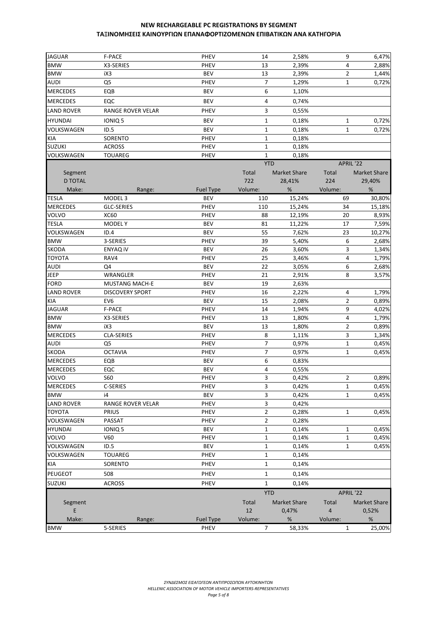| <b>JAGUAR</b>     | F-PACE                 | PHEV        | 14                      | 2,58%               | 9              | 6,47%        |
|-------------------|------------------------|-------------|-------------------------|---------------------|----------------|--------------|
| <b>BMW</b>        | X3-SERIES              | PHEV        | 13                      | 2,39%               | $\overline{4}$ | 2,88%        |
| <b>BMW</b>        | iX3                    | <b>BEV</b>  | 13                      | 2,39%               | $\overline{2}$ | 1,44%        |
| <b>AUDI</b>       | Q <sub>5</sub>         | PHEV        | $\overline{7}$          | 1,29%               | $\mathbf{1}$   | 0,72%        |
| <b>MERCEDES</b>   | EQB                    | <b>BEV</b>  | 6                       | 1,10%               |                |              |
| <b>MERCEDES</b>   | EQC                    | <b>BEV</b>  | $\overline{4}$          | 0,74%               |                |              |
| LAND ROVER        | RANGE ROVER VELAR      | PHEV        | 3                       | 0,55%               |                |              |
| <b>HYUNDAI</b>    | IONIQ <sub>5</sub>     | <b>BEV</b>  | $\mathbf{1}$            | 0,18%               | $\mathbf{1}$   | 0,72%        |
| <b>VOLKSWAGEN</b> | ID.5                   | <b>BEV</b>  | $\mathbf{1}$            | 0,18%               | $\mathbf{1}$   | 0,72%        |
| KIA               | SORENTO                | PHEV        | $\mathbf{1}$            | 0,18%               |                |              |
| <b>SUZUKI</b>     | <b>ACROSS</b>          | PHEV        | $\mathbf{1}$            | 0,18%               |                |              |
| VOLKSWAGEN        | <b>TOUAREG</b>         | PHEV        | $\mathbf{1}$            | 0,18%               |                |              |
|                   |                        |             | <b>YTD</b>              |                     | APRIL '22      |              |
| Segment           |                        |             | Total                   | <b>Market Share</b> | Total          | Market Share |
| <b>D TOTAL</b>    |                        |             | 722                     | 28,41%              | 224            | 29,40%       |
| Make:             | Range:                 | Fuel Type   | Volume:                 | %                   | Volume:        | %            |
| <b>TESLA</b>      | MODEL <sub>3</sub>     | <b>BEV</b>  | 110                     | 15,24%              | 69             | 30,80%       |
| <b>MERCEDES</b>   | <b>GLC-SERIES</b>      | PHEV        | 110                     | 15,24%              | 34             | 15,18%       |
| VOLVO             | <b>XC60</b>            | PHEV        | 88                      | 12,19%              | 20             | 8,93%        |
| <b>TESLA</b>      | MODEL Y                | <b>BEV</b>  | 81                      | 11,22%              | 17             | 7,59%        |
| VOLKSWAGEN        | ID.4                   | <b>BEV</b>  | 55                      | 7,62%               | 23             | 10,27%       |
| <b>BMW</b>        | 3-SERIES               | <b>PHEV</b> | 39                      | 5,40%               | 6              | 2,68%        |
| SKODA             | ENYAQ IV               | <b>BEV</b>  | 26                      | 3,60%               | 3              | 1,34%        |
| <b>TOYOTA</b>     | RAV4                   | PHEV        | 25                      | 3,46%               | $\overline{4}$ | 1,79%        |
| <b>AUDI</b>       | Q4                     | <b>BEV</b>  | 22                      | 3,05%               | 6              | 2,68%        |
| JEEP              | WRANGLER               | PHEV        | 21                      | 2,91%               | 8              | 3,57%        |
| <b>FORD</b>       | <b>MUSTANG MACH-E</b>  | <b>BEV</b>  | 19                      | 2,63%               |                |              |
| <b>LAND ROVER</b> | <b>DISCOVERY SPORT</b> | PHEV        | 16                      | 2,22%               | 4              | 1,79%        |
| KIA               | EV <sub>6</sub>        | <b>BEV</b>  | 15                      | 2,08%               | $\overline{2}$ | 0,89%        |
| JAGUAR            | F-PACE                 | PHEV        | 14                      | 1,94%               | 9              | 4,02%        |
| <b>BMW</b>        | X3-SERIES              | <b>PHEV</b> | 13                      | 1,80%               | 4              | 1,79%        |
| <b>BMW</b>        | iX3                    | <b>BEV</b>  | 13                      | 1,80%               | $\overline{2}$ | 0,89%        |
| <b>MERCEDES</b>   | CLA-SERIES             | PHEV        | 8                       | 1,11%               | 3              | 1,34%        |
| <b>AUDI</b>       | Q <sub>5</sub>         | PHEV        | $\overline{7}$          | 0,97%               | $\mathbf{1}$   | 0,45%        |
| SKODA             | <b>OCTAVIA</b>         | <b>PHEV</b> | $\overline{7}$          | 0,97%               | $\mathbf{1}$   | 0,45%        |
| <b>MERCEDES</b>   | EQB                    | <b>BEV</b>  | 6                       | 0,83%               |                |              |
| <b>MERCEDES</b>   | EQC                    | <b>BEV</b>  | 4                       | 0,55%               |                |              |
| <b>VOLVO</b>      | <b>S60</b>             | PHEV        | 3                       | 0,42%               | $\overline{2}$ | 0,89%        |
| <b>MERCEDES</b>   | C-SERIES               | PHEV        | 3                       | 0,42%               | $\mathbf{1}$   | 0,45%        |
| <b>BMW</b>        | i4                     | <b>BEV</b>  | 3                       | 0,42%               | $\mathbf{1}$   | 0,45%        |
| <b>LAND ROVER</b> | RANGE ROVER VELAR      | PHEV        | $\overline{\mathbf{3}}$ | 0,42%               |                |              |
| <b>TOYOTA</b>     | PRIUS                  | PHEV        | $\overline{2}$          | 0,28%               | $\mathbf{1}$   | 0,45%        |
| VOLKSWAGEN        | PASSAT                 | PHEV        | $\overline{2}$          | 0,28%               |                |              |
| HYUNDAI           | IONIQ 5                | <b>BEV</b>  | $\mathbf{1}$            | 0,14%               | $\mathbf{1}$   | 0,45%        |
| VOLVO             | V60                    | PHEV        | $\mathbf{1}$            | 0,14%               | $\mathbf{1}$   | 0,45%        |
| VOLKSWAGEN        | ID.5                   | <b>BEV</b>  | $\mathbf{1}$            | 0,14%               | $\mathbf{1}$   | 0,45%        |
| VOLKSWAGEN        | <b>TOUAREG</b>         | PHEV        | $\mathbf{1}$            | 0,14%               |                |              |
| KIA               | SORENTO                | PHEV        | $\mathbf{1}$            | 0,14%               |                |              |
| PEUGEOT           | 508                    | PHEV        | $\mathbf{1}$            | 0,14%               |                |              |
| <b>SUZUKI</b>     | <b>ACROSS</b>          | PHEV        | $\mathbf{1}$            | 0,14%               |                |              |
|                   |                        |             | <b>YTD</b>              |                     | APRIL '22      |              |
| Segment           |                        |             | Total                   | <b>Market Share</b> | Total          | Market Share |
| E                 |                        |             | 12                      | 0,47%               | $\overline{4}$ | 0,52%        |
| Make:             | Range:                 | Fuel Type   | Volume:                 | %                   | Volume:        | %            |
| <b>BMW</b>        | 5-SERIES               | PHEV        | $\overline{7}$          | 58,33%              | $\mathbf{1}$   | 25,00%       |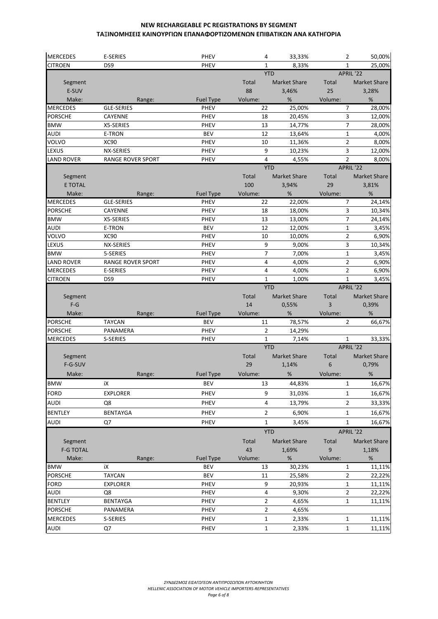| <b>MERCEDES</b>                | E-SERIES                 | <b>PHEV</b>      | 4                                | 33,33%              | 2                            | 50,00%                                                             |
|--------------------------------|--------------------------|------------------|----------------------------------|---------------------|------------------------------|--------------------------------------------------------------------|
| <b>CITROEN</b>                 | DS9                      | <b>PHEV</b>      | $\mathbf{1}$                     | 8,33%               | $\mathbf{1}$                 | 25,00%                                                             |
|                                |                          |                  |                                  | <b>YTD</b>          | APRIL '22                    |                                                                    |
| Segment                        |                          |                  | Total                            | <b>Market Share</b> | Total                        | <b>Market Share</b>                                                |
| E-SUV                          |                          |                  | 88                               | 3,46%               | 25                           | 3,28%                                                              |
| Make:                          | Range:                   | <b>Fuel Type</b> | Volume:                          | %                   | Volume:                      | $\%$                                                               |
| <b>MERCEDES</b>                | <b>GLE-SERIES</b>        | PHEV             | 22                               | 25,00%              | $\overline{7}$               | 28,00%                                                             |
| <b>PORSCHE</b>                 | CAYENNE                  | <b>PHEV</b>      | 18                               | 20,45%              | 3                            | 12,00%                                                             |
| <b>BMW</b>                     | X5-SERIES                | <b>PHEV</b>      | 13                               | 14,77%              | $\overline{7}$               | 28,00%                                                             |
| <b>AUDI</b>                    | E-TRON                   | <b>BEV</b>       | 12                               | 13,64%              | $\mathbf{1}$                 | 4,00%                                                              |
| VOLVO                          | <b>XC90</b>              | PHEV             | 10                               | 11,36%              | $\overline{2}$               | 8,00%                                                              |
| LEXUS                          | NX-SERIES                | PHEV             | 9                                | 10,23%              | 3                            | 12,00%                                                             |
| <b>LAND ROVER</b>              | <b>RANGE ROVER SPORT</b> | PHEV             | $\overline{4}$                   | 4,55%<br><b>YTD</b> | $\overline{2}$<br>APRIL '22  | 8,00%                                                              |
| Segment                        |                          |                  | Total                            | <b>Market Share</b> | Total                        | <b>Market Share</b>                                                |
| <b>E TOTAL</b>                 |                          |                  | 100                              | 3,94%               | 29                           | 3,81%                                                              |
| Make:                          | Range:                   | <b>Fuel Type</b> | Volume:                          | $\%$                | Volume:                      | $\%$                                                               |
| <b>MERCEDES</b>                | GLE-SERIES               | <b>PHEV</b>      | 22                               | 22,00%              | 7                            | 24,14%                                                             |
| <b>PORSCHE</b>                 | CAYENNE                  | <b>PHEV</b>      | 18                               | 18,00%              | 3                            | 10,34%                                                             |
| <b>BMW</b>                     | X5-SERIES                | PHEV             | 13                               | 13,00%              | 7                            | 24,14%                                                             |
| <b>AUDI</b>                    | E-TRON                   | <b>BEV</b>       | 12                               | 12,00%              | $\mathbf{1}$                 | 3,45%                                                              |
| VOLVO                          | XC90                     | <b>PHEV</b>      | 10                               | 10,00%              | $\overline{2}$               | 6,90%                                                              |
| LEXUS                          | NX-SERIES                | PHEV             | 9                                | 9,00%               | 3                            | 10,34%                                                             |
| <b>BMW</b>                     | 5-SERIES                 | <b>PHEV</b>      | $\overline{7}$                   | 7,00%               | $\mathbf 1$                  | 3,45%                                                              |
| LAND ROVER                     | RANGE ROVER SPORT        | <b>PHEV</b>      | 4                                | 4,00%               | $\overline{2}$               | 6,90%                                                              |
| <b>MERCEDES</b>                | <b>E-SERIES</b>          | PHEV             | 4                                | 4,00%               | $\overline{2}$               | 6,90%                                                              |
| <b>CITROEN</b>                 | DS9                      | <b>PHEV</b>      | $\mathbf{1}$                     | 1,00%               | $\mathbf{1}$                 | 3,45%                                                              |
|                                |                          |                  |                                  | <b>YTD</b>          | APRIL '22                    |                                                                    |
| Segment                        |                          |                  | Total                            | <b>Market Share</b> | Total                        | <b>Market Share</b>                                                |
| $F-G$                          |                          |                  | 14                               | 0,55%               | 3                            | 0,39%                                                              |
|                                |                          |                  |                                  |                     |                              |                                                                    |
| Make:                          | Range:                   | <b>Fuel Type</b> | Volume:                          | %                   | Volume:                      | %                                                                  |
| <b>PORSCHE</b>                 | <b>TAYCAN</b>            | <b>BEV</b>       | 11                               | 78,57%              | $\overline{2}$               | 66,67%                                                             |
| <b>PORSCHE</b>                 | PANAMERA                 | PHEV             | $\overline{2}$                   | 14,29%              |                              |                                                                    |
| <b>MERCEDES</b>                | S-SERIES                 | PHEV             | $\mathbf{1}$                     | 7,14%               | 1                            | 33,33%                                                             |
|                                |                          |                  |                                  | <b>YTD</b>          | APRIL '22                    |                                                                    |
| Segment                        |                          |                  | Total                            | <b>Market Share</b> | Total                        | Market Share                                                       |
| F-G-SUV                        |                          |                  | 29                               | 1,14%               | 6                            | 0,79%                                                              |
| Make:                          | Range:                   | <b>Fuel Type</b> | Volume:                          | %                   | Volume:                      | %                                                                  |
| <b>BMW</b>                     | iX                       | <b>BEV</b>       | 13                               | 44,83%              | $\mathbf{1}$                 |                                                                    |
| <b>FORD</b>                    | <b>EXPLORER</b>          | PHEV             | 9                                | 31,03%              | $\mathbf{1}$                 |                                                                    |
| <b>AUDI</b>                    | Q8                       | PHEV             | 4                                | 13,79%              | $\overline{2}$               |                                                                    |
| <b>BENTLEY</b>                 | <b>BENTAYGA</b>          | PHEV             | $\mathbf 2$                      | 6,90%               | $\mathbf{1}$                 |                                                                    |
|                                |                          |                  |                                  |                     |                              |                                                                    |
| <b>AUDI</b>                    | Q7                       | PHEV             | $\mathbf{1}$                     | 3,45%               | $\mathbf{1}$                 | 16,67%<br>16,67%<br>33,33%<br>16,67%<br>16,67%                     |
|                                |                          |                  |                                  | <b>YTD</b>          | APRIL '22                    |                                                                    |
| Segment                        |                          |                  | Total                            | <b>Market Share</b> | Total                        | Market Share                                                       |
| <b>F-G TOTAL</b>               |                          |                  | 43                               | 1,69%               | 9                            | 1,18%                                                              |
| Make:                          | Range:                   | <b>Fuel Type</b> | Volume:                          | %                   | Volume:                      | $\%$                                                               |
| <b>BMW</b>                     | iX                       | <b>BEV</b>       | 13                               | 30,23%              | 1                            |                                                                    |
| <b>PORSCHE</b>                 | <b>TAYCAN</b>            | <b>BEV</b>       | 11                               | 25,58%              | $\overline{2}$               |                                                                    |
| <b>FORD</b>                    | <b>EXPLORER</b>          | PHEV             | 9                                | 20,93%              | 1                            |                                                                    |
| <b>AUDI</b>                    | Q8                       | PHEV             | $\overline{4}$                   | 9,30%               | $\mathbf{2}$                 |                                                                    |
| <b>BENTLEY</b>                 | <b>BENTAYGA</b>          | PHEV             | $\overline{2}$<br>$\overline{2}$ | 4,65%               | $\mathbf 1$                  |                                                                    |
| <b>PORSCHE</b>                 | PANAMERA                 | PHEV             |                                  | 4,65%               |                              |                                                                    |
| <b>MERCEDES</b><br><b>AUDI</b> | S-SERIES<br>Q7           | PHEV<br>PHEV     | $\mathbf 1$<br>$\mathbf{1}$      | 2,33%<br>2,33%      | $\mathbf{1}$<br>$\mathbf{1}$ | 11,11%<br>22,22%<br>11,11%<br>22,22%<br>11,11%<br>11,11%<br>11,11% |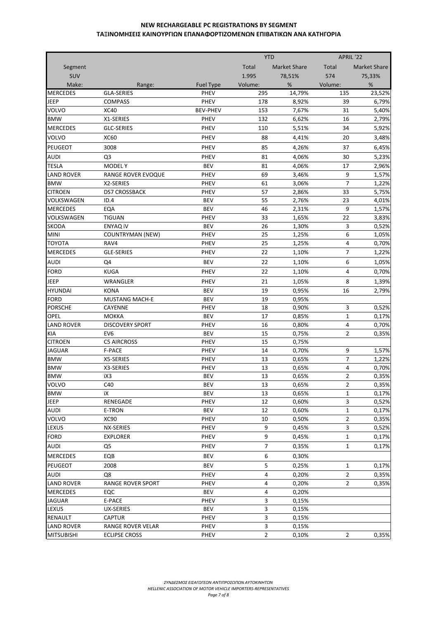|                   |                           |                  | <b>YTD</b>     |                     | APRIL '22      |                     |
|-------------------|---------------------------|------------------|----------------|---------------------|----------------|---------------------|
| Segment           |                           |                  | Total          | <b>Market Share</b> | Total          | <b>Market Share</b> |
| SUV               |                           |                  | 1.995          | 78,51%              | 574            | 75,33%              |
| Make:             | Range:                    | <b>Fuel Type</b> | Volume:        | %                   | Volume:        | %                   |
| <b>MERCEDES</b>   | <b>GLA-SERIES</b>         | <b>PHEV</b>      | 295            | 14,79%              | 135            | 23,52%              |
| <b>JEEP</b>       | <b>COMPASS</b>            | <b>PHEV</b>      | 178            | 8,92%               | 39             | 6,79%               |
| VOLVO             | <b>XC40</b>               | <b>BEV-PHEV</b>  | 153            | 7,67%               | 31             | 5,40%               |
| <b>BMW</b>        | X1-SERIES                 | <b>PHEV</b>      | 132            | 6,62%               | 16             | 2,79%               |
| <b>MERCEDES</b>   | <b>GLC-SERIES</b>         | PHEV             | 110            | 5,51%               | 34             | 5,92%               |
| VOLVO             | <b>XC60</b>               | PHEV             | 88             | 4,41%               | 20             | 3,48%               |
| PEUGEOT           | 3008                      | <b>PHEV</b>      | 85             | 4,26%               | 37             | 6,45%               |
| <b>AUDI</b>       | Q <sub>3</sub>            | <b>PHEV</b>      | 81             | 4,06%               | 30             | 5,23%               |
| <b>TESLA</b>      | <b>MODELY</b>             | <b>BEV</b>       | 81             | 4,06%               | 17             | 2,96%               |
| <b>LAND ROVER</b> | <b>RANGE ROVER EVOQUE</b> | PHEV             | 69             | 3,46%               | 9              | 1,57%               |
| <b>BMW</b>        | X2-SERIES                 | <b>PHEV</b>      | 61             | 3,06%               | $\overline{7}$ | 1,22%               |
| <b>CITROEN</b>    | DS7 CROSSBACK             | PHEV             | 57             | 2,86%               | 33             | 5,75%               |
| VOLKSWAGEN        | ID.4                      | <b>BEV</b>       | 55             | 2,76%               | 23             | 4,01%               |
| <b>MERCEDES</b>   | EQA                       | <b>BEV</b>       | 46             | 2,31%               | 9              | 1,57%               |
| VOLKSWAGEN        | <b>TIGUAN</b>             | <b>PHEV</b>      | 33             | 1,65%               | 22             | 3,83%               |
| SKODA             | <b>ENYAQ IV</b>           | <b>BEV</b>       | 26             | 1,30%               | 3              | 0,52%               |
| <b>MINI</b>       | <b>COUNTRYMAN (NEW)</b>   | PHEV             | 25             | 1,25%               | 6              | 1,05%               |
| <b>TOYOTA</b>     | RAV4                      | PHEV             | 25             | 1,25%               | 4              | 0,70%               |
| <b>MERCEDES</b>   | <b>GLE-SERIES</b>         | PHEV             | 22             | 1,10%               | $\overline{7}$ | 1,22%               |
| <b>AUDI</b>       | Q4                        | <b>BEV</b>       | 22             | 1,10%               | 6              | 1,05%               |
| <b>FORD</b>       | <b>KUGA</b>               | PHEV             | 22             | 1,10%               | 4              | 0,70%               |
| JEEP              | WRANGLER                  | PHEV             | 21             | 1,05%               | 8              | 1,39%               |
| <b>HYUNDAI</b>    | <b>KONA</b>               | <b>BEV</b>       | 19             | 0,95%               | 16             | 2,79%               |
| <b>FORD</b>       | <b>MUSTANG MACH-E</b>     | <b>BEV</b>       | 19             | 0,95%               |                |                     |
| <b>PORSCHE</b>    | CAYENNE                   | PHEV             | 18             | 0,90%               | 3              | 0,52%               |
| OPEL              | <b>MOKKA</b>              | <b>BEV</b>       | 17             | 0,85%               | 1              | 0,17%               |
| <b>LAND ROVER</b> | <b>DISCOVERY SPORT</b>    | PHEV             | 16             | 0,80%               | 4              | 0,70%               |
| KIA               | EV <sub>6</sub>           | <b>BEV</b>       | 15             | 0,75%               | $\overline{2}$ | 0,35%               |
| <b>CITROEN</b>    | <b>C5 AIRCROSS</b>        | <b>PHEV</b>      | 15             | 0,75%               |                |                     |
| <b>JAGUAR</b>     | <b>F-PACE</b>             | <b>PHEV</b>      | 14             | 0,70%               | 9              | 1,57%               |
| <b>BMW</b>        | X5-SERIES                 | <b>PHEV</b>      | 13             | 0,65%               | $\overline{7}$ | 1,22%               |
| <b>BMW</b>        | X3-SERIES                 | <b>PHEV</b>      | 13             | 0,65%               | 4              | 0,70%               |
| <b>BMW</b>        | iX3                       | <b>BEV</b>       | 13             | 0,65%               | $\overline{2}$ | 0,35%               |
| <b>VOLVO</b>      | C40                       | <b>BEV</b>       | 13             | 0,65%               | 2              | 0,35%               |
| <b>BMW</b>        | iΧ                        | <b>BEV</b>       | 13             | 0,65%               | $\mathbf{1}$   | 0,17%               |
| <b>JEEP</b>       | RENEGADE                  | PHEV             | 12             | 0,60%               | 3              | 0,52%               |
| <b>AUDI</b>       | E-TRON                    | <b>BEV</b>       | 12             | 0,60%               | $\mathbf{1}$   | 0,17%               |
| VOLVO             | XC90                      | PHEV             | 10             | 0,50%               | $\overline{2}$ | 0,35%               |
| LEXUS             | NX-SERIES                 | PHEV             | 9              | 0,45%               | 3              | 0,52%               |
| <b>FORD</b>       | <b>EXPLORER</b>           | PHEV             | 9              | 0,45%               | $\mathbf{1}$   | 0,17%               |
| AUDI              | Q <sub>5</sub>            | PHEV             | $\overline{7}$ | 0,35%               | $\mathbf{1}$   | 0,17%               |
| <b>MERCEDES</b>   | EQB                       | <b>BEV</b>       | 6              | 0,30%               |                |                     |
| PEUGEOT           | 2008                      | <b>BEV</b>       | 5              | 0,25%               | 1              | 0,17%               |
| <b>AUDI</b>       | Q8                        | PHEV             | 4              | 0,20%               | $\overline{2}$ | 0,35%               |
| <b>LAND ROVER</b> | <b>RANGE ROVER SPORT</b>  | PHEV             | 4              | 0,20%               | $\overline{2}$ | 0,35%               |
| <b>MERCEDES</b>   | EQC                       | <b>BEV</b>       | 4              | 0,20%               |                |                     |
| <b>JAGUAR</b>     | E-PACE                    | PHEV             | 3              | 0,15%               |                |                     |
| LEXUS             | UX-SERIES                 | <b>BEV</b>       | 3              | 0,15%               |                |                     |
| <b>RENAULT</b>    | <b>CAPTUR</b>             | <b>PHEV</b>      | 3              | 0,15%               |                |                     |
| <b>LAND ROVER</b> | RANGE ROVER VELAR         | PHEV             | 3              | 0,15%               |                |                     |
| <b>MITSUBISHI</b> | <b>ECLIPSE CROSS</b>      | PHEV             | $\overline{2}$ | 0,10%               | $\overline{2}$ | 0,35%               |